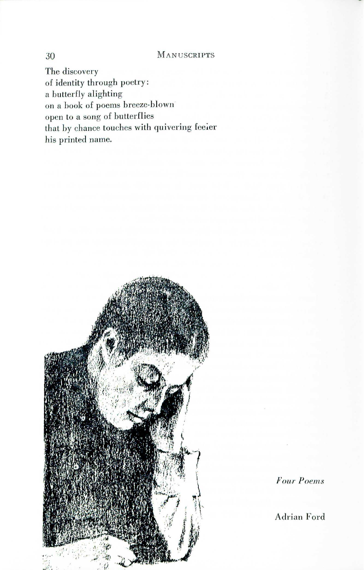## 30 MAN USCRIPTS

The discovery of identity through poetry: a butterfly alighting on a book of poems breeze-blown open to a song of butterflies that by chance touches with quivering feeler his printed name.



*FOUl" Poems*

Adrian Ford